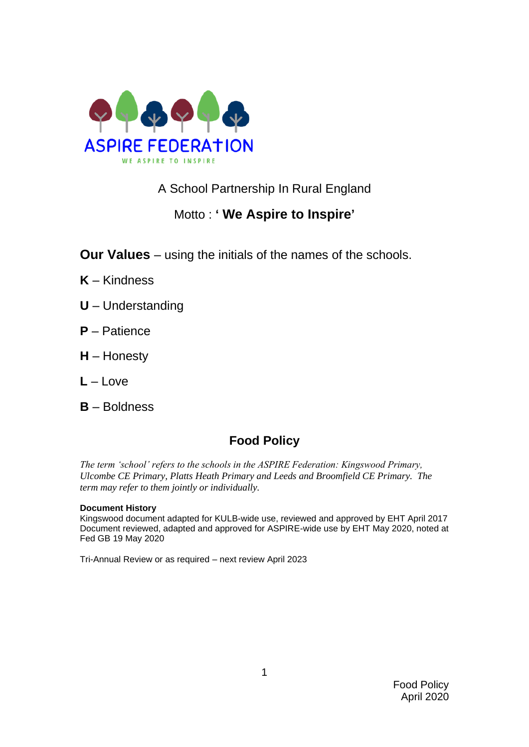

A School Partnership In Rural England

# Motto : **' We Aspire to Inspire'**

**Our Values** – using the initials of the names of the schools.

- **K** Kindness
- **U** Understanding
- **P** Patience
- **H** Honesty
- $L L$ ove
- **B** Boldness

# **Food Policy**

*The term 'school' refers to the schools in the ASPIRE Federation: Kingswood Primary, Ulcombe CE Primary, Platts Heath Primary and Leeds and Broomfield CE Primary. The term may refer to them jointly or individually.*

#### **Document History**

Kingswood document adapted for KULB-wide use, reviewed and approved by EHT April 2017 Document reviewed, adapted and approved for ASPIRE-wide use by EHT May 2020, noted at Fed GB 19 May 2020

Tri-Annual Review or as required – next review April 2023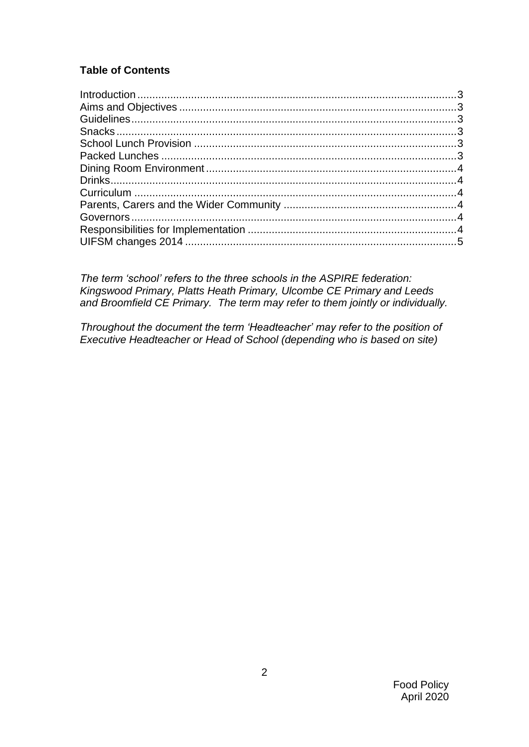## **Table of Contents**

*The term 'school' refers to the three schools in the ASPIRE federation: Kingswood Primary, Platts Heath Primary, Ulcombe CE Primary and Leeds and Broomfield CE Primary. The term may refer to them jointly or individually.*

*Throughout the document the term 'Headteacher' may refer to the position of Executive Headteacher or Head of School (depending who is based on site)*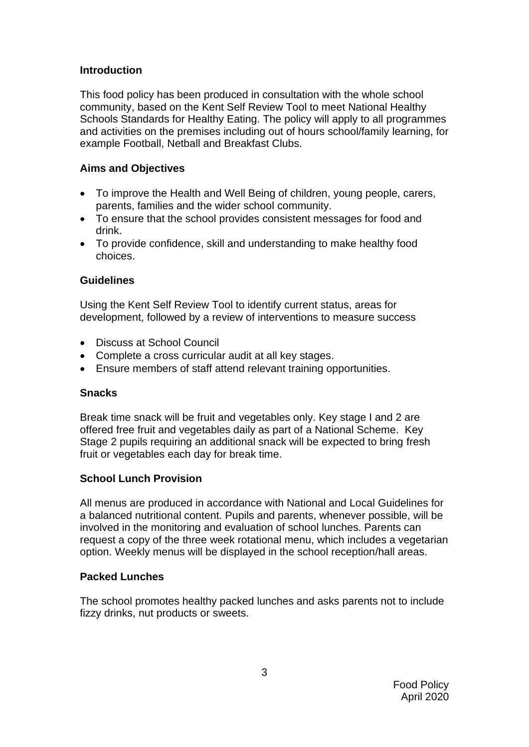## <span id="page-2-0"></span>**Introduction**

This food policy has been produced in consultation with the whole school community, based on the Kent Self Review Tool to meet National Healthy Schools Standards for Healthy Eating. The policy will apply to all programmes and activities on the premises including out of hours school/family learning, for example Football, Netball and Breakfast Clubs.

## <span id="page-2-1"></span>**Aims and Objectives**

- To improve the Health and Well Being of children, young people, carers, parents, families and the wider school community.
- To ensure that the school provides consistent messages for food and drink.
- To provide confidence, skill and understanding to make healthy food choices.

## <span id="page-2-2"></span>**Guidelines**

Using the Kent Self Review Tool to identify current status, areas for development, followed by a review of interventions to measure success

- Discuss at School Council
- Complete a cross curricular audit at all key stages.
- Ensure members of staff attend relevant training opportunities.

#### <span id="page-2-3"></span>**Snacks**

Break time snack will be fruit and vegetables only. Key stage I and 2 are offered free fruit and vegetables daily as part of a National Scheme. Key Stage 2 pupils requiring an additional snack will be expected to bring fresh fruit or vegetables each day for break time.

## <span id="page-2-4"></span>**School Lunch Provision**

All menus are produced in accordance with National and Local Guidelines for a balanced nutritional content. Pupils and parents, whenever possible, will be involved in the monitoring and evaluation of school lunches. Parents can request a copy of the three week rotational menu, which includes a vegetarian option. Weekly menus will be displayed in the school reception/hall areas.

#### <span id="page-2-5"></span>**Packed Lunches**

<span id="page-2-6"></span>The school promotes healthy packed lunches and asks parents not to include fizzy drinks, nut products or sweets.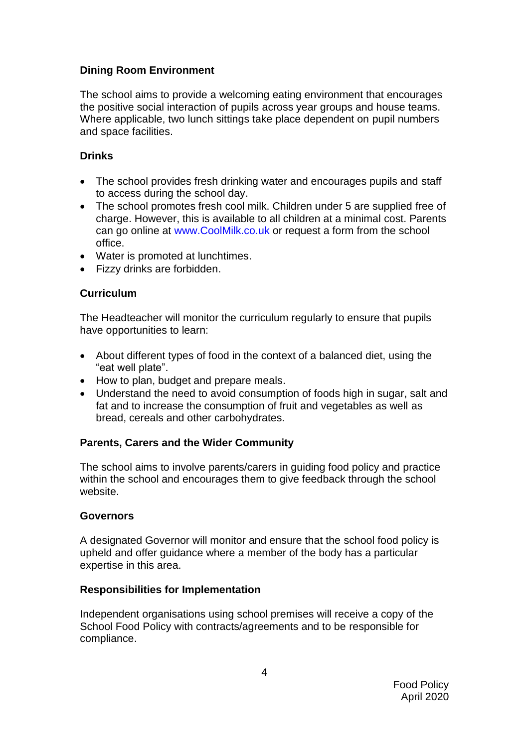## **Dining Room Environment**

The school aims to provide a welcoming eating environment that encourages the positive social interaction of pupils across year groups and house teams. Where applicable, two lunch sittings take place dependent on pupil numbers and space facilities.

## <span id="page-3-0"></span>**Drinks**

- The school provides fresh drinking water and encourages pupils and staff to access during the school day.
- The school promotes fresh cool milk. Children under 5 are supplied free of charge. However, this is available to all children at a minimal cost. Parents can go online at www.CoolMilk.co.uk or request a form from the school office.
- Water is promoted at lunchtimes.
- Fizzy drinks are forbidden.

## <span id="page-3-1"></span>**Curriculum**

The Headteacher will monitor the curriculum regularly to ensure that pupils have opportunities to learn:

- About different types of food in the context of a balanced diet, using the "eat well plate".
- How to plan, budget and prepare meals.
- Understand the need to avoid consumption of foods high in sugar, salt and fat and to increase the consumption of fruit and vegetables as well as bread, cereals and other carbohydrates.

#### <span id="page-3-2"></span>**Parents, Carers and the Wider Community**

The school aims to involve parents/carers in guiding food policy and practice within the school and encourages them to give feedback through the school website.

#### <span id="page-3-3"></span>**Governors**

A designated Governor will monitor and ensure that the school food policy is upheld and offer guidance where a member of the body has a particular expertise in this area.

#### <span id="page-3-4"></span>**Responsibilities for Implementation**

Independent organisations using school premises will receive a copy of the School Food Policy with contracts/agreements and to be responsible for compliance.